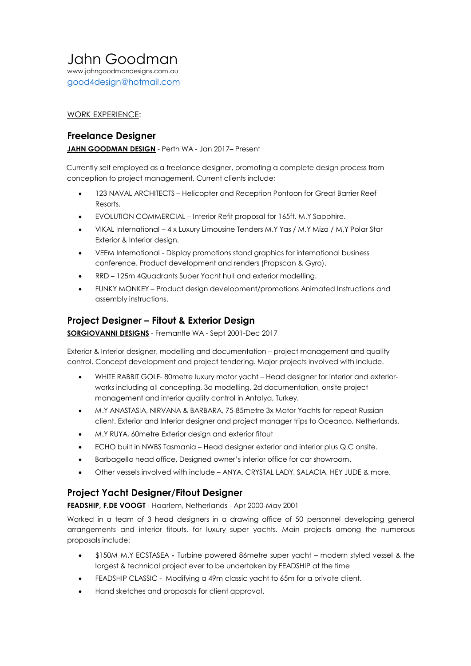# Jahn Goodman

www.jahngoodmandesigns.com.au [good4design@hotmail.com](mailto:good4design@hotmail.com)

## WORK EXPERIENCE:

# **Freelance Designer**

**JAHN GOODMAN DESIGN** - Perth WA - Jan 2017– Present

Currently self employed as a freelance designer, promoting a complete design process from conception to project management. Current clients include;

- 123 NAVAL ARCHITECTS Helicopter and Reception Pontoon for Great Barrier Reef Resorts.
- EVOLUTION COMMERCIAL Interior Refit proposal for 165ft. M.Y Sapphire.
- VIKAL International 4 x Luxury Limousine Tenders M.Y Yas / M.Y Miza / M,Y Polar Star Exterior & Interior design.
- VEEM International Display promotions stand graphics for international business conference. Product development and renders (Propscan & Gyro).
- RRD 125m 4Quadrants Super Yacht hull and exterior modelling.
- FUNKY MONKEY Product design development/promotions Animated Instructions and assembly instructions.

# **Project Designer – Fitout & Exterior Design**

**SORGIOVANNI DESIGNS** - Fremantle WA - Sept 2001-Dec 2017

Exterior & Interior designer, modelling and documentation – project management and quality control. Concept development and project tendering. Major projects involved with include.

- WHITE RABBIT GOLF- 80metre luxury motor yacht Head designer for interior and exteriorworks including all concepting, 3d modelling, 2d documentation, onsite project management and interior quality control in Antalya, Turkey.
- M.Y ANASTASIA, NIRVANA & BARBARA, 75-85metre 3x Motor Yachts for repeat Russian client. Exterior and Interior designer and project manager trips to Oceanco, Netherlands.
- M.Y RUYA, 60metre Exterior design and exterior fitout
- ECHO built in NWBS Tasmania Head designer exterior and interior plus Q.C onsite.
- Barbagello head office. Designed owner's interior office for car showroom.
- Other vessels involved with include ANYA, CRYSTAL LADY, SALACIA, HEY JUDE & more.

# **Project Yacht Designer/Fitout Designer**

**FEADSHIP, F.DE VOOGT** - Haarlem, Netherlands - Apr 2000-May 2001

Worked in a team of 3 head designers in a drawing office of 50 personnel developing general arrangements and interior fitouts, for luxury super yachts. Main projects among the numerous proposals include:

- \$150M M.Y ECSTASEA **-** Turbine powered 86metre super yacht modern styled vessel & the largest & technical project ever to be undertaken by FEADSHIP at the time
- FEADSHIP CLASSIC Modifying a 49m classic yacht to 65m for a private client.
- Hand sketches and proposals for client approval.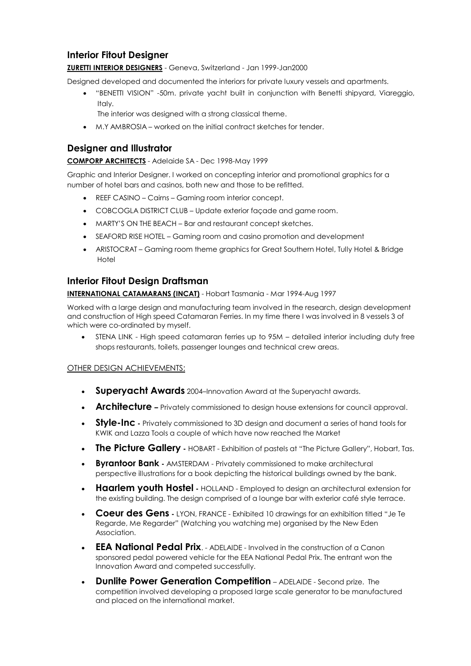# **Interior Fitout Designer**

**ZURETTI INTERIOR DESIGNERS** - Geneva, Switzerland - Jan 1999-Jan2000

Designed developed and documented the interiors for private luxury vessels and apartments.

- "BENETTI VISION" -50m. private yacht built in conjunction with Benetti shipyard, Viareggio, Italy.
	- The interior was designed with a strong classical theme.
- M.Y AMBROSIA worked on the initial contract sketches for tender.

## **Designer and Illustrator**

**COMPORP ARCHITECTS** - Adelaide SA - Dec 1998-May 1999

Graphic and Interior Designer. I worked on concepting interior and promotional graphics for a number of hotel bars and casinos, both new and those to be refitted.

- REEF CASINO Cairns Gaming room interior concept.
- COBCOGLA DISTRICT CLUB Update exterior façade and game room.
- MARTY'S ON THE BEACH Bar and restaurant concept sketches.
- SEAFORD RISE HOTEL Gaming room and casino promotion and development
- ARISTOCRAT Gaming room theme graphics for Great Southern Hotel, Tully Hotel & Bridge Hotel

# **Interior Fitout Design Draftsman**

## **INTERNATIONAL CATAMARANS (INCAT)** - Hobart Tasmania - Mar 1994-Aug 1997

Worked with a large design and manufacturing team involved in the research, design development and construction of High speed Catamaran Ferries. In my time there I was involved in 8 vessels 3 of which were co-ordinated by myself.

 STENA LINK - High speed catamaran ferries up to 95M – detailed interior including duty free shops restaurants, toilets, passenger lounges and technical crew areas.

## OTHER DESIGN ACHIEVEMENTS:

- **Superyacht Awards** 2004–Innovation Award at the Superyacht awards.
- **Architecture –** Privately commissioned to design house extensions for council approval.
- **Style-Inc -** Privately commissioned to 3D design and document a series of hand tools for KWIK and Lazza Tools a couple of which have now reached the Market
- **The Picture Gallery -** HOBART Exhibition of pastels at "The Picture Gallery", Hobart, Tas.
- **Byrantoor Bank -** AMSTERDAM Privately commissioned to make architectural perspective illustrations for a book depicting the historical buildings owned by the bank.
- **Haarlem youth Hostel -** HOLLAND Employed to design an architectural extension for the existing building. The design comprised of a lounge bar with exterior café style terrace.
- **Coeur des Gens -** LYON, FRANCE Exhibited 10 drawings for an exhibition titled "Je Te Regarde, Me Regarder" (Watching you watching me) organised by the New Eden Association.
- **EEA National Pedal Prix**. ADELAIDE Involved in the construction of a Canon sponsored pedal powered vehicle for the EEA National Pedal Prix. The entrant won the Innovation Award and competed successfully.
- **Dunlite Power Generation Competition** ADELAIDE Second prize. The competition involved developing a proposed large scale generator to be manufactured and placed on the international market.